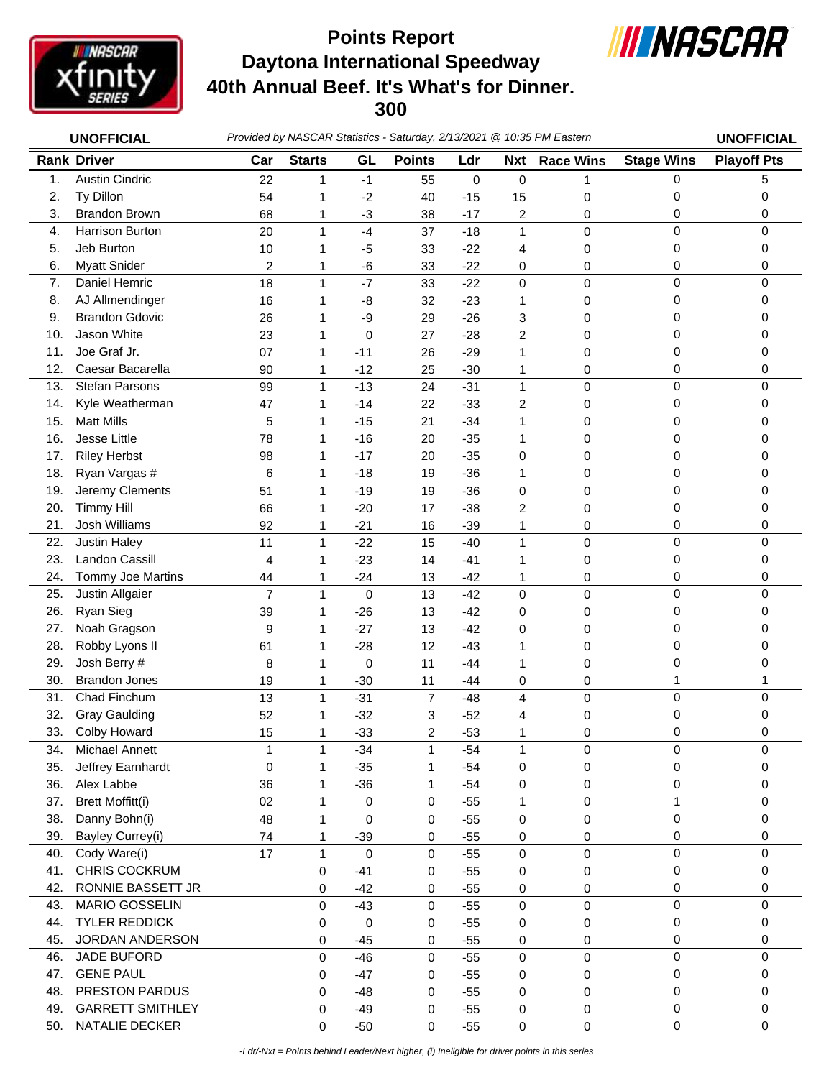

## **Daytona International Speedway 40th Annual Beef. It's What's for Dinner. 300 Points Report**



|            | <b>UNOFFICIAL</b>                        |                         |                   |                      | Provided by NASCAR Statistics - Saturday, 2/13/2021 @ 10:35 PM Eastern |                |                  |                     |                   | <b>UNOFFICIAL</b>  |
|------------|------------------------------------------|-------------------------|-------------------|----------------------|------------------------------------------------------------------------|----------------|------------------|---------------------|-------------------|--------------------|
|            | <b>Rank Driver</b>                       | Car                     | <b>Starts</b>     | GL                   | <b>Points</b>                                                          | Ldr            | <b>Nxt</b>       | <b>Race Wins</b>    | <b>Stage Wins</b> | <b>Playoff Pts</b> |
| 1.         | <b>Austin Cindric</b>                    | 22                      | 1                 | $-1$                 | 55                                                                     | $\mathsf 0$    | $\boldsymbol{0}$ |                     | $\Omega$          | 5                  |
| 2.         | Ty Dillon                                | 54                      | 1                 | $-2$                 | 40                                                                     | $-15$          | 15               | 0                   | 0                 | 0                  |
| 3.         | <b>Brandon Brown</b>                     | 68                      | 1                 | $-3$                 | 38                                                                     | $-17$          | 2                | 0                   | 0                 | 0                  |
| 4.         | Harrison Burton                          | 20                      | $\mathbf{1}$      | $-4$                 | 37                                                                     | $-18$          | $\mathbf{1}$     | 0                   | $\mathbf 0$       | $\Omega$           |
| 5.         | Jeb Burton                               | 10                      | 1                 | -5                   | 33                                                                     | $-22$          | 4                | 0                   | 0                 | 0                  |
| 6.         | <b>Myatt Snider</b>                      | $\overline{\mathbf{c}}$ | 1                 | -6                   | 33                                                                     | $-22$          | 0                | 0                   | 0                 | 0                  |
| 7.         | Daniel Hemric                            | 18                      | $\mathbf{1}$      | $-7$                 | 33                                                                     | $-22$          | $\mathbf 0$      | 0                   | $\mathbf 0$       | $\mathbf 0$        |
| 8.         | AJ Allmendinger                          | 16                      | 1                 | -8                   | 32                                                                     | $-23$          | 1                | 0                   | 0                 | 0                  |
| 9.         | <b>Brandon Gdovic</b>                    | 26                      | 1                 | -9                   | 29                                                                     | $-26$          | 3                | 0                   | 0                 | 0                  |
| 10.        | Jason White                              | 23                      | $\mathbf{1}$      | $\mathbf 0$          | 27                                                                     | $-28$          | $\overline{c}$   | 0                   | $\mathbf 0$       | 0                  |
| 11.        | Joe Graf Jr.                             | 07                      | 1                 | $-11$                | 26                                                                     | $-29$          | 1                | 0                   | 0                 | 0                  |
| 12.        | Caesar Bacarella                         | 90                      | 1                 | $-12$                | 25                                                                     | $-30$          | 1                | 0                   | 0                 | 0                  |
| 13.        | <b>Stefan Parsons</b>                    | 99                      | $\mathbf{1}$      | $-13$                | 24                                                                     | $-31$          | 1                | 0                   | $\mathbf 0$       | 0                  |
| 14.        | Kyle Weatherman                          | 47                      | 1                 | $-14$                | 22                                                                     | $-33$          | 2                | 0                   | 0                 | 0                  |
| 15.        | <b>Matt Mills</b>                        | 5                       | 1                 | $-15$                | 21                                                                     | $-34$          | 1                | 0                   | 0                 | 0                  |
| 16.        | Jesse Little                             | 78                      | $\mathbf{1}$      | $-16$                | 20                                                                     | $-35$          | 1                | $\mathbf 0$         | 0                 | 0                  |
| 17.        | <b>Riley Herbst</b>                      | 98                      | 1                 | $-17$                | 20                                                                     | $-35$          | 0                | 0                   | 0                 | 0                  |
| 18.        | Ryan Vargas #                            | 6                       | 1                 | $-18$                | 19                                                                     | $-36$          | 1                | 0                   | 0                 | 0                  |
| 19.        | Jeremy Clements                          | 51                      | $\mathbf{1}$      | $-19$                | 19                                                                     | $-36$          | $\mathbf 0$      | 0                   | $\mathbf 0$       | $\Omega$           |
| 20.        | <b>Timmy Hill</b>                        | 66                      | 1                 | $-20$                | 17                                                                     | $-38$          | 2                | 0                   | 0                 | 0                  |
| 21.        | Josh Williams                            | 92                      | 1                 | $-21$                | 16                                                                     | $-39$          | 1                | 0                   | 0                 | 0                  |
| 22.        | <b>Justin Haley</b>                      | 11                      | 1                 | $-22$                | 15                                                                     | $-40$          | 1                | 0                   | $\mathbf 0$       | $\Omega$           |
| 23.        | Landon Cassill                           | 4                       | 1                 | $-23$                | 14                                                                     | $-41$          | 1                | 0                   | 0                 | 0                  |
| 24.        | Tommy Joe Martins                        | 44                      | 1                 | $-24$                | 13                                                                     | $-42$          | 1                | 0                   | 0                 | 0                  |
| 25.        | Justin Allgaier                          | $\overline{7}$          | $\mathbf{1}$      | 0                    | 13                                                                     | $-42$          | 0                | 0                   | $\mathbf 0$       | $\Omega$           |
| 26.        | Ryan Sieg                                | 39                      | 1                 | $-26$                | 13                                                                     | $-42$          | 0                | 0                   | 0                 | 0                  |
| 27.        | Noah Gragson                             | 9                       | 1                 | $-27$                | 13                                                                     | $-42$          | 0                | 0                   | 0                 | 0                  |
| 28.        | Robby Lyons II                           | 61                      | $\mathbf{1}$      | $-28$                | 12                                                                     | $-43$          | 1                | 0                   | $\mathbf 0$       | 0                  |
| 29.        | Josh Berry #                             | 8                       | 1                 | 0                    | 11                                                                     | $-44$          | 1                | 0                   | 0                 | 0                  |
| 30.        | <b>Brandon Jones</b>                     | 19                      | 1                 | $-30$                | 11                                                                     | $-44$          | 0                | 0                   | 1                 |                    |
| 31.        | Chad Finchum                             | 13                      | 1                 | $-31$                | 7                                                                      | $-48$          | 4                | 0                   | 0                 | $\Omega$           |
| 32.        | <b>Gray Gaulding</b>                     | 52                      | 1                 | $-32$                | 3                                                                      | $-52$          | 4                | 0                   | 0                 | 0                  |
| 33.        | Colby Howard                             | 15                      | 1                 | $-33$                | 2                                                                      | $-53$          | 1                | 0                   | 0                 | 0                  |
| 34.        | Michael Annett                           | 1                       | $\mathbf{1}$      | $-34$                | $\mathbf{1}$                                                           | $-54$          | $\mathbf{1}$     | 0                   | 0                 | 0                  |
| 35.        | Jeffrey Earnhardt                        | 0                       | 1                 | $-35$                | 1                                                                      | $-54$          | 0                | 0                   | 0                 | 0                  |
| 36.        | Alex Labbe                               | 36                      | 1                 | $-36$                | 1                                                                      | $-54$          | 0                | 0                   | 0                 | 0                  |
| 37.<br>38. | <b>Brett Moffitt(i)</b><br>Danny Bohn(i) | 02                      | 1                 | 0                    | 0                                                                      | $-55$          | $\mathbf{1}$     | $\mathsf 0$         | 1                 | 0<br>0             |
| 39.        | Bayley Currey(i)                         | 48                      | 1                 | 0                    | 0                                                                      | $-55$          | 0                | 0                   | 0                 |                    |
| 40.        | Cody Ware(i)                             | 74<br>17                | 1<br>$\mathbf{1}$ | $-39$<br>$\mathbf 0$ | 0<br>$\mathbf 0$                                                       | $-55$<br>$-55$ | 0<br>$\mathsf 0$ | 0                   | 0<br>$\Omega$     | 0<br>$\Omega$      |
| 41.        | CHRIS COCKRUM                            |                         |                   |                      |                                                                        |                |                  | $\mathsf{O}\xspace$ |                   |                    |
| 42.        | RONNIE BASSETT JR                        |                         | 0                 | $-41$<br>$-42$       | 0                                                                      | $-55$          | 0                | 0                   | 0<br>0            | 0<br>0             |
| 43.        | <b>MARIO GOSSELIN</b>                    |                         | 0                 | $-43$                | 0<br>0                                                                 | $-55$<br>$-55$ | 0<br>$\mathsf 0$ | 0<br>$\mathbf 0$    | 0                 | 0                  |
| 44.        | <b>TYLER REDDICK</b>                     |                         | 0                 |                      |                                                                        | $-55$          |                  |                     | 0                 | 0                  |
| 45.        | JORDAN ANDERSON                          |                         | 0                 | 0                    | 0                                                                      |                | 0                | 0                   |                   |                    |
| 46.        | JADE BUFORD                              |                         | 0<br>0            | $-45$<br>$-46$       | 0<br>0                                                                 | $-55$<br>$-55$ | 0<br>0           | 0<br>$\mathbf 0$    | 0<br>$\mathbf 0$  | 0<br>0             |
| 47.        | <b>GENE PAUL</b>                         |                         | 0                 | $-47$                | 0                                                                      | $-55$          | 0                | 0                   | 0                 | 0                  |
| 48.        | PRESTON PARDUS                           |                         | 0                 | $-48$                | 0                                                                      | $-55$          | 0                | 0                   | 0                 | 0                  |
| 49.        | <b>GARRETT SMITHLEY</b>                  |                         | 0                 | $-49$                | $\mathbf 0$                                                            | $-55$          | $\pmb{0}$        | $\pmb{0}$           | $\pmb{0}$         | 0                  |

50. NATALIE DECKER 0 -50 0 -55 0 0 0 0